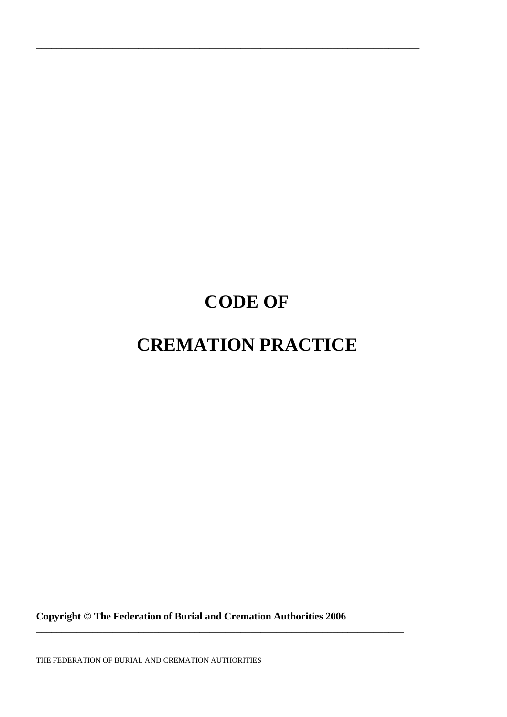# **CODE OF**

\_\_\_\_\_\_\_\_\_\_\_\_\_\_\_\_\_\_\_\_\_\_\_\_\_\_\_\_\_\_\_\_\_\_\_\_\_\_\_\_\_\_\_\_\_\_\_\_\_\_\_\_\_\_\_\_\_\_\_\_\_\_\_\_\_\_\_\_\_\_\_\_\_\_\_

# **CREMATION PRACTICE**

**Copyright © The Federation of Burial and Cremation Authorities 2006** 

\_\_\_\_\_\_\_\_\_\_\_\_\_\_\_\_\_\_\_\_\_\_\_\_\_\_\_\_\_\_\_\_\_\_\_\_\_\_\_\_\_\_\_\_\_\_\_\_\_\_\_\_\_\_\_\_\_\_\_\_\_\_\_\_\_\_\_\_\_\_\_\_

THE FEDERATION OF BURIAL AND CREMATION AUTHORITIES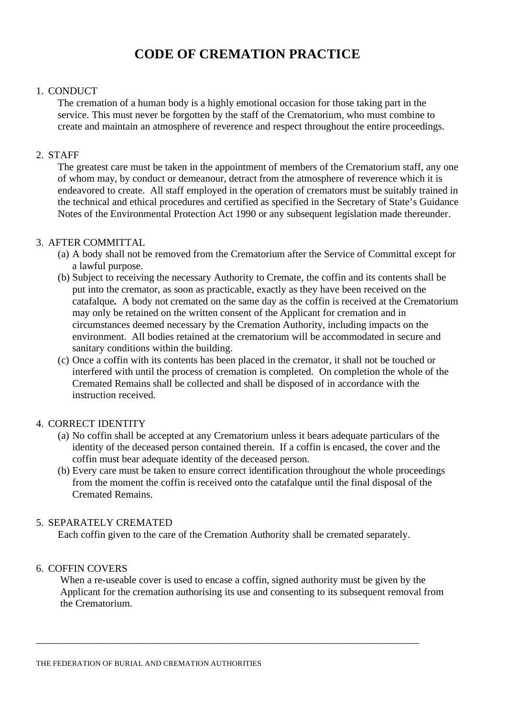# **CODE OF CREMATION PRACTICE**

#### 1. CONDUCT

The cremation of a human body is a highly emotional occasion for those taking part in the service. This must never be forgotten by the staff of the Crematorium, who must combine to create and maintain an atmosphere of reverence and respect throughout the entire proceedings.

### 2. STAFF

 The greatest care must be taken in the appointment of members of the Crematorium staff, any one of whom may, by conduct or demeanour, detract from the atmosphere of reverence which it is endeavored to create. All staff employed in the operation of cremators must be suitably trained in the technical and ethical procedures and certified as specified in the Secretary of State's Guidance Notes of the Environmental Protection Act 1990 or any subsequent legislation made thereunder.

#### 3. AFTER COMMITTAL

- (a) A body shall not be removed from the Crematorium after the Service of Committal except for a lawful purpose.
- (b) Subject to receiving the necessary Authority to Cremate, the coffin and its contents shall be put into the cremator, as soon as practicable, exactly as they have been received on the catafalque*.* A body not cremated on the same day as the coffin is received at the Crematorium may only be retained on the written consent of the Applicant for cremation and in circumstances deemed necessary by the Cremation Authority, including impacts on the environment. All bodies retained at the crematorium will be accommodated in secure and sanitary conditions within the building.
- (c) Once a coffin with its contents has been placed in the cremator, it shall not be touched or interfered with until the process of cremation is completed. On completion the whole of the Cremated Remains shall be collected and shall be disposed of in accordance with the instruction received.

# 4. CORRECT IDENTITY

- (a) No coffin shall be accepted at any Crematorium unless it bears adequate particulars of the identity of the deceased person contained therein. If a coffin is encased, the cover and the coffin must bear adequate identity of the deceased person.
- (b) Every care must be taken to ensure correct identification throughout the whole proceedings from the moment the coffin is received onto the catafalque until the final disposal of the Cremated Remains.

# 5. SEPARATELY CREMATED

Each coffin given to the care of the Cremation Authority shall be cremated separately.

\_\_\_\_\_\_\_\_\_\_\_\_\_\_\_\_\_\_\_\_\_\_\_\_\_\_\_\_\_\_\_\_\_\_\_\_\_\_\_\_\_\_\_\_\_\_\_\_\_\_\_\_\_\_\_\_\_\_\_\_\_\_\_\_\_\_\_\_\_\_\_\_\_\_\_

# 6. COFFIN COVERS

When a re-useable cover is used to encase a coffin, signed authority must be given by the Applicant for the cremation authorising its use and consenting to its subsequent removal from the Crematorium.